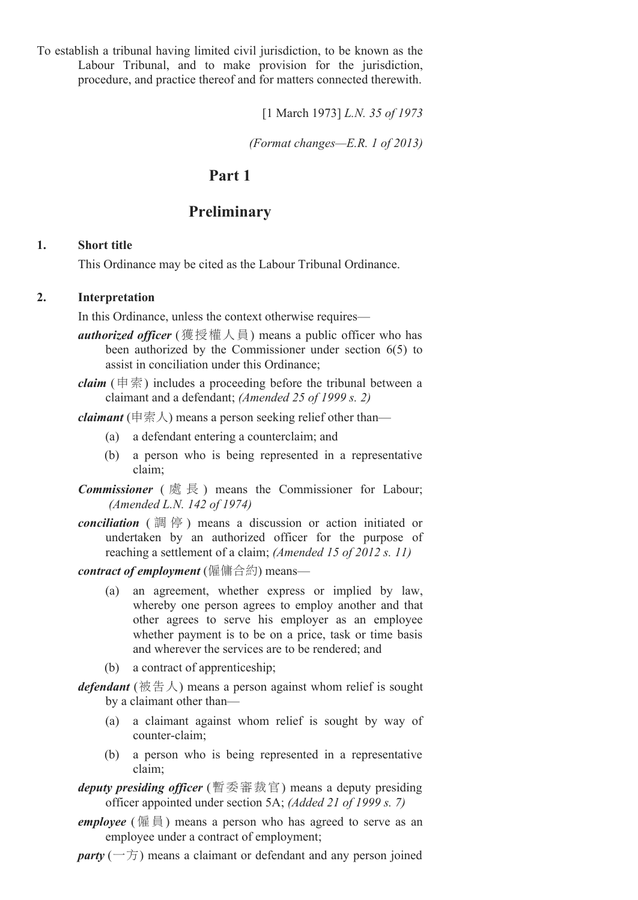To establish a tribunal having limited civil jurisdiction, to be known as the Labour Tribunal, and to make provision for the jurisdiction, procedure, and practice thereof and for matters connected therewith.

[1 March 1973] *L.N. 35 of 1973*

*(Format changes—E.R. 1 of 2013)*

## **Part 1**

## **Preliminary**

#### **1. Short title**

This Ordinance may be cited as the Labour Tribunal Ordinance.

#### **2. Interpretation**

In this Ordinance, unless the context otherwise requires—

- *authorized officer* (獲授權人員) means a public officer who has been authorized by the Commissioner under section 6(5) to assist in conciliation under this Ordinance;
- *claim* (申索) includes a proceeding before the tribunal between a claimant and a defendant; *(Amended 25 of 1999 s. 2)*

*claimant* (申索人) means a person seeking relief other than—

- (a) a defendant entering a counterclaim; and
- (b) a person who is being represented in a representative claim;
- *Commissioner* ( 處 長 ) means the Commissioner for Labour; *(Amended L.N. 142 of 1974)*
- *conciliation* ( 調 停 ) means a discussion or action initiated or undertaken by an authorized officer for the purpose of reaching a settlement of a claim; *(Amended 15 of 2012 s. 11)*
- *contract of employment* (僱傭合約) means—
	- (a) an agreement, whether express or implied by law, whereby one person agrees to employ another and that other agrees to serve his employer as an employee whether payment is to be on a price, task or time basis and wherever the services are to be rendered; and
	- (b) a contract of apprenticeship;
- *defendant* (被告人) means a person against whom relief is sought by a claimant other than—
	- (a) a claimant against whom relief is sought by way of counter-claim:
	- (b) a person who is being represented in a representative claim;
- *deputy presiding officer* (暫委審裁官) means a deputy presiding officer appointed under section 5A; *(Added 21 of 1999 s. 7)*
- *employee* (僱員) means a person who has agreed to serve as an employee under a contract of employment;

 $\textit{party}$  ( $-\overline{\overline{D}}$ ) means a claimant or defendant and any person joined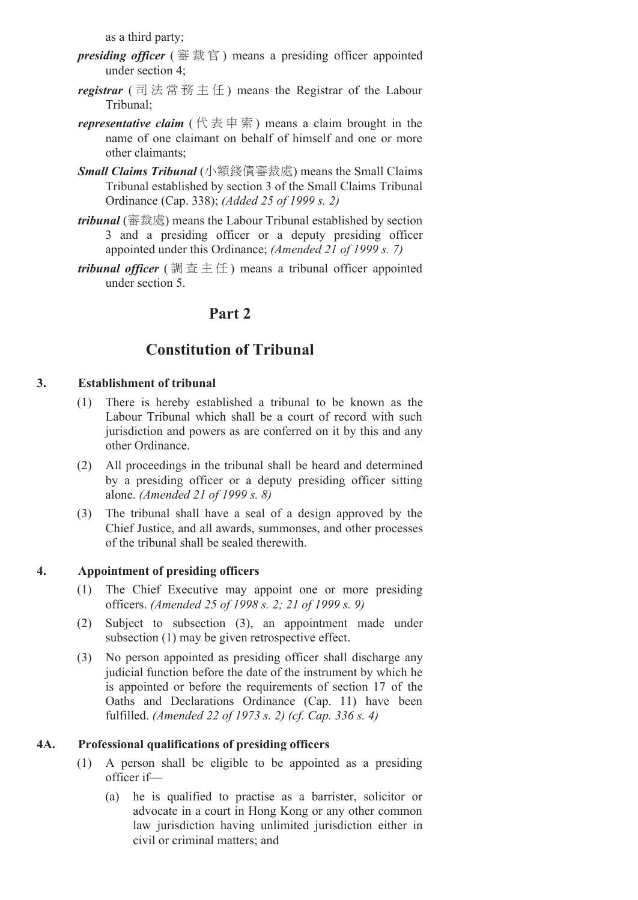as a third party;

- *presiding officer* ( 審 裁 官 ) means a presiding officer appointed under section 4;
- *registrar* ( 司 法 常 務 主 任 ) means the Registrar of the Labour Tribunal;
- *representative claim* ( $(\nparallel \mathbb{R} \neq \mathbb{R})$  means a claim brought in the name of one claimant on behalf of himself and one or more other claimants;
- *Small Claims Tribunal* (小額錢債審裁處) means the Small Claims Tribunal established by section 3 of the Small Claims Tribunal Ordinance (Cap. 338); *(Added 25 of 1999 s. 2)*
- *tribunal* (審裁處) means the Labour Tribunal established by section 3 and a presiding officer or a deputy presiding officer appointed under this Ordinance; *(Amended 21 of 1999 s. 7)*
- *tribunal officer* (調査主任) means a tribunal officer appointed under section 5.

# **Part 2**

# **Constitution of Tribunal**

## **3. Establishment of tribunal**

- (1) There is hereby established a tribunal to be known as the Labour Tribunal which shall be a court of record with such jurisdiction and powers as are conferred on it by this and any other Ordinance.
- (2) All proceedings in the tribunal shall be heard and determined by a presiding officer or a deputy presiding officer sitting alone. *(Amended 21 of 1999 s. 8)*
- (3) The tribunal shall have a seal of a design approved by the Chief Justice, and all awards, summonses, and other processes of the tribunal shall be sealed therewith.

## **4. Appointment of presiding officers**

- (1) The Chief Executive may appoint one or more presiding officers. *(Amended 25 of 1998 s. 2; 21 of 1999 s. 9)*
- (2) Subject to subsection (3), an appointment made under subsection (1) may be given retrospective effect.
- (3) No person appointed as presiding officer shall discharge any judicial function before the date of the instrument by which he is appointed or before the requirements of section 17 of the Oaths and Declarations Ordinance (Cap. 11) have been fulfilled. *(Amended 22 of 1973 s. 2) (cf. Cap. 336 s. 4)*

## **4A. Professional qualifications of presiding officers**

- (1) A person shall be eligible to be appointed as a presiding officer if—
	- (a) he is qualified to practise as a barrister, solicitor or advocate in a court in Hong Kong or any other common law jurisdiction having unlimited jurisdiction either in civil or criminal matters; and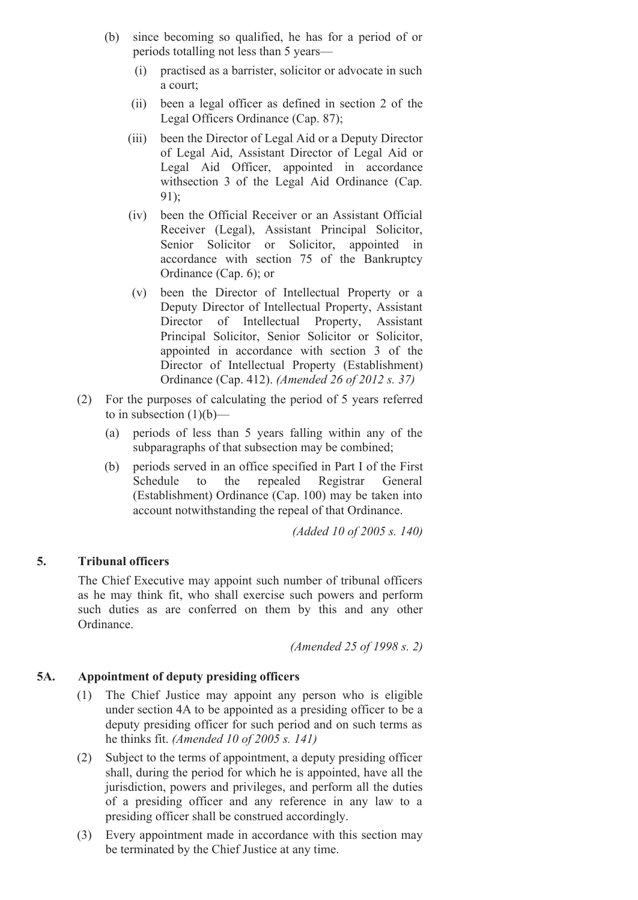- (b) since becoming so qualified, he has for a period of or periods totalling not less than 5 years—
	- (i) practised as a barrister, solicitor or advocate in such a court;
	- (ii) been a legal officer as defined in section 2 of the Legal Officers Ordinance (Cap. 87);
	- (iii) been the Director of Legal Aid or a Deputy Director of Legal Aid, Assistant Director of Legal Aid or Legal Aid Officer, appointed in accordance withsection 3 of the Legal Aid Ordinance (Cap. 91);
	- (iv) been the Official Receiver or an Assistant Official Receiver (Legal), Assistant Principal Solicitor, Senior Solicitor or Solicitor, appointed in accordance with section 75 of the Bankruptcy Ordinance (Cap. 6); or
	- (v) been the Director of Intellectual Property or a Deputy Director of Intellectual Property, Assistant Director of Intellectual Property, Assistant Principal Solicitor, Senior Solicitor or Solicitor, appointed in accordance with section 3 of the Director of Intellectual Property (Establishment) Ordinance (Cap. 412). *(Amended 26 of 2012 s. 37)*
- (2) For the purposes of calculating the period of 5 years referred to in subsection  $(1)(b)$ —
	- (a) periods of less than 5 years falling within any of the subparagraphs of that subsection may be combined;
	- (b) periods served in an office specified in Part I of the First Schedule to the repealed Registrar General (Establishment) Ordinance (Cap. 100) may be taken into account notwithstanding the repeal of that Ordinance.

*(Added 10 of 2005 s. 140)*

#### **5. Tribunal officers**

The Chief Executive may appoint such number of tribunal officers as he may think fit, who shall exercise such powers and perform such duties as are conferred on them by this and any other Ordinance.

*(Amended 25 of 1998 s. 2)*

#### **5A. Appointment of deputy presiding officers**

- (1) The Chief Justice may appoint any person who is eligible under section 4A to be appointed as a presiding officer to be a deputy presiding officer for such period and on such terms as he thinks fit. *(Amended 10 of 2005 s. 141)*
- (2) Subject to the terms of appointment, a deputy presiding officer shall, during the period for which he is appointed, have all the jurisdiction, powers and privileges, and perform all the duties of a presiding officer and any reference in any law to a presiding officer shall be construed accordingly.
- (3) Every appointment made in accordance with this section may be terminated by the Chief Justice at any time.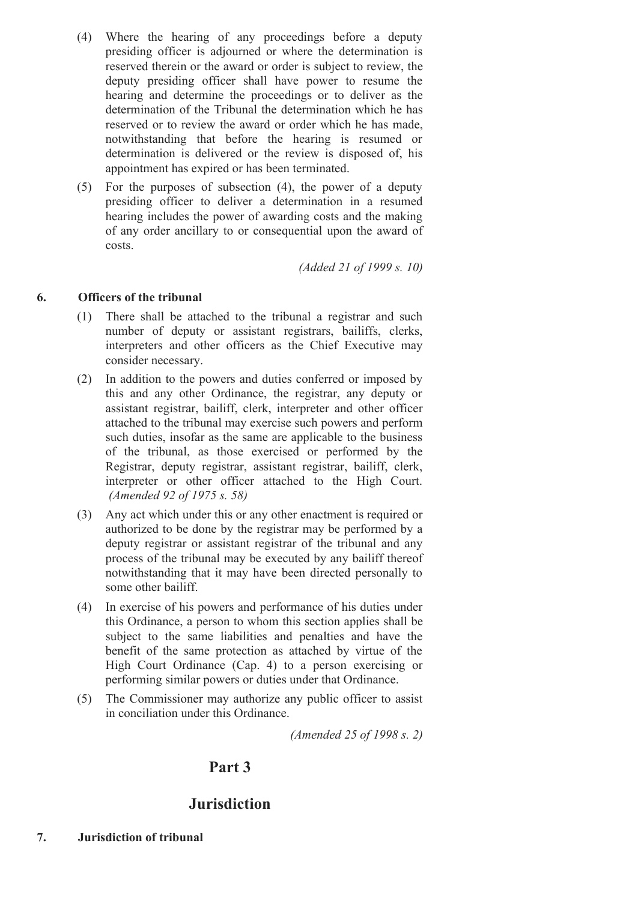- (4) Where the hearing of any proceedings before a deputy presiding officer is adjourned or where the determination is reserved therein or the award or order is subject to review, the deputy presiding officer shall have power to resume the hearing and determine the proceedings or to deliver as the determination of the Tribunal the determination which he has reserved or to review the award or order which he has made, notwithstanding that before the hearing is resumed or determination is delivered or the review is disposed of, his appointment has expired or has been terminated.
- (5) For the purposes of subsection (4), the power of a deputy presiding officer to deliver a determination in a resumed hearing includes the power of awarding costs and the making of any order ancillary to or consequential upon the award of costs.

*(Added 21 of 1999 s. 10)*

#### **6. Officers of the tribunal**

- (1) There shall be attached to the tribunal a registrar and such number of deputy or assistant registrars, bailiffs, clerks, interpreters and other officers as the Chief Executive may consider necessary.
- (2) In addition to the powers and duties conferred or imposed by this and any other Ordinance, the registrar, any deputy or assistant registrar, bailiff, clerk, interpreter and other officer attached to the tribunal may exercise such powers and perform such duties, insofar as the same are applicable to the business of the tribunal, as those exercised or performed by the Registrar, deputy registrar, assistant registrar, bailiff, clerk, interpreter or other officer attached to the High Court. *(Amended 92 of 1975 s. 58)*
- (3) Any act which under this or any other enactment is required or authorized to be done by the registrar may be performed by a deputy registrar or assistant registrar of the tribunal and any process of the tribunal may be executed by any bailiff thereof notwithstanding that it may have been directed personally to some other bailiff.
- (4) In exercise of his powers and performance of his duties under this Ordinance, a person to whom this section applies shall be subject to the same liabilities and penalties and have the benefit of the same protection as attached by virtue of the High Court Ordinance (Cap. 4) to a person exercising or performing similar powers or duties under that Ordinance.
- (5) The Commissioner may authorize any public officer to assist in conciliation under this Ordinance.

*(Amended 25 of 1998 s. 2)*

# **Part 3**

# **Jurisdiction**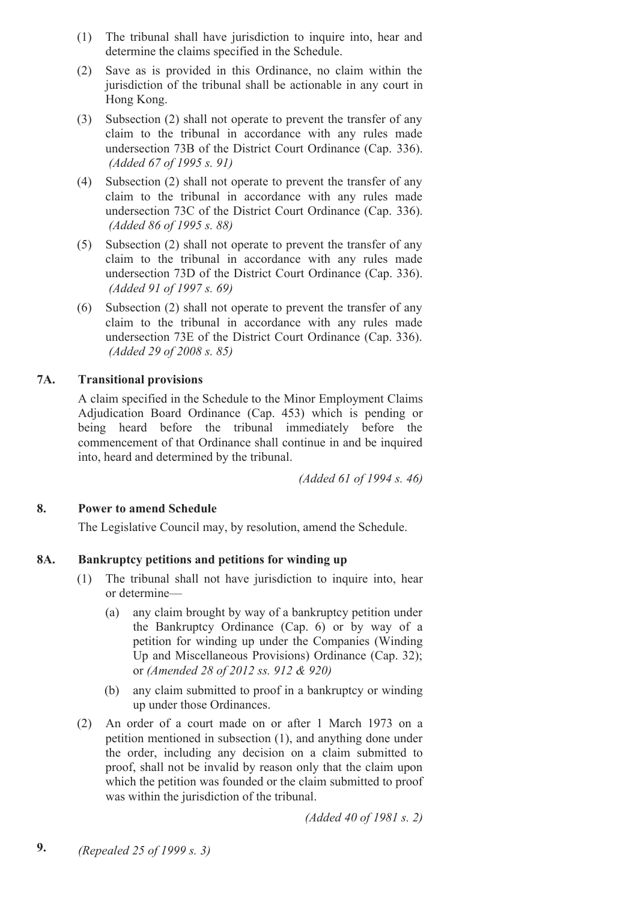- (1) The tribunal shall have jurisdiction to inquire into, hear and determine the claims specified in the Schedule.
- (2) Save as is provided in this Ordinance, no claim within the jurisdiction of the tribunal shall be actionable in any court in Hong Kong.
- (3) Subsection (2) shall not operate to prevent the transfer of any claim to the tribunal in accordance with any rules made undersection 73B of the District Court Ordinance (Cap. 336). *(Added 67 of 1995 s. 91)*
- (4) Subsection (2) shall not operate to prevent the transfer of any claim to the tribunal in accordance with any rules made undersection 73C of the District Court Ordinance (Cap. 336). *(Added 86 of 1995 s. 88)*
- (5) Subsection (2) shall not operate to prevent the transfer of any claim to the tribunal in accordance with any rules made undersection 73D of the District Court Ordinance (Cap. 336). *(Added 91 of 1997 s. 69)*
- (6) Subsection (2) shall not operate to prevent the transfer of any claim to the tribunal in accordance with any rules made undersection 73E of the District Court Ordinance (Cap. 336). *(Added 29 of 2008 s. 85)*

## **7A. Transitional provisions**

A claim specified in the Schedule to the Minor Employment Claims Adjudication Board Ordinance (Cap. 453) which is pending or being heard before the tribunal immediately before the commencement of that Ordinance shall continue in and be inquired into, heard and determined by the tribunal.

*(Added 61 of 1994 s. 46)*

## **8. Power to amend Schedule**

The Legislative Council may, by resolution, amend the Schedule.

## **8A. Bankruptcy petitions and petitions for winding up**

- (1) The tribunal shall not have jurisdiction to inquire into, hear or determine—
	- (a) any claim brought by way of a bankruptcy petition under the Bankruptcy Ordinance (Cap. 6) or by way of a petition for winding up under the Companies (Winding Up and Miscellaneous Provisions) Ordinance (Cap. 32); or *(Amended 28 of 2012 ss. 912 & 920)*
	- (b) any claim submitted to proof in a bankruptcy or winding up under those Ordinances.
- (2) An order of a court made on or after 1 March 1973 on a petition mentioned in subsection (1), and anything done under the order, including any decision on a claim submitted to proof, shall not be invalid by reason only that the claim upon which the petition was founded or the claim submitted to proof was within the jurisdiction of the tribunal.

*(Added 40 of 1981 s. 2)*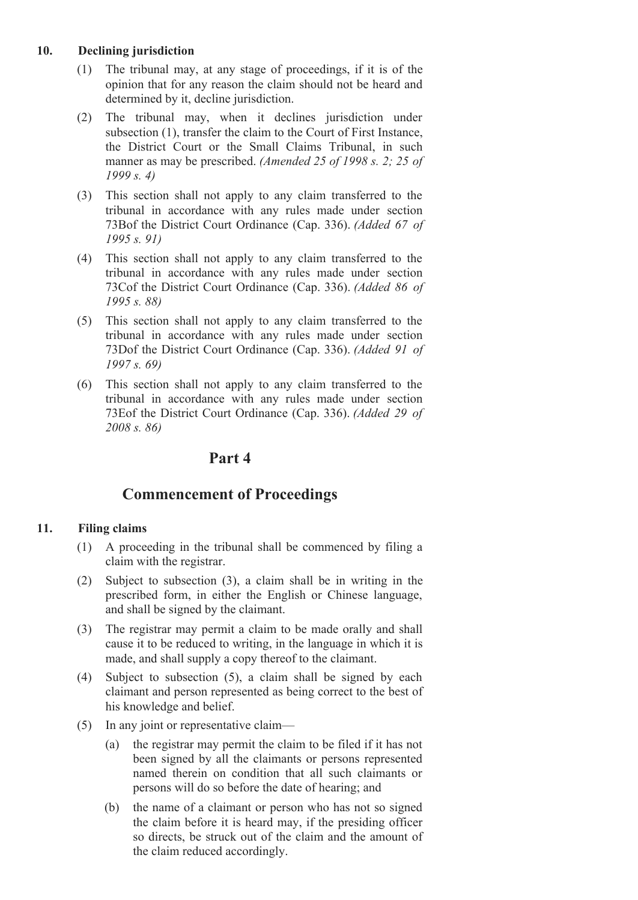## **10. Declining jurisdiction**

- (1) The tribunal may, at any stage of proceedings, if it is of the opinion that for any reason the claim should not be heard and determined by it, decline jurisdiction.
- (2) The tribunal may, when it declines jurisdiction under subsection (1), transfer the claim to the Court of First Instance, the District Court or the Small Claims Tribunal, in such manner as may be prescribed. *(Amended 25 of 1998 s. 2; 25 of 1999 s. 4)*
- (3) This section shall not apply to any claim transferred to the tribunal in accordance with any rules made under section 73Bof the District Court Ordinance (Cap. 336). *(Added 67 of 1995 s. 91)*
- (4) This section shall not apply to any claim transferred to the tribunal in accordance with any rules made under section 73Cof the District Court Ordinance (Cap. 336). *(Added 86 of 1995 s. 88)*
- (5) This section shall not apply to any claim transferred to the tribunal in accordance with any rules made under section 73Dof the District Court Ordinance (Cap. 336). *(Added 91 of 1997 s. 69)*
- (6) This section shall not apply to any claim transferred to the tribunal in accordance with any rules made under section 73Eof the District Court Ordinance (Cap. 336). *(Added 29 of 2008 s. 86)*

# **Part 4**

# **Commencement of Proceedings**

## **11. Filing claims**

- (1) A proceeding in the tribunal shall be commenced by filing a claim with the registrar.
- (2) Subject to subsection (3), a claim shall be in writing in the prescribed form, in either the English or Chinese language, and shall be signed by the claimant.
- (3) The registrar may permit a claim to be made orally and shall cause it to be reduced to writing, in the language in which it is made, and shall supply a copy thereof to the claimant.
- (4) Subject to subsection (5), a claim shall be signed by each claimant and person represented as being correct to the best of his knowledge and belief.
- (5) In any joint or representative claim—
	- (a) the registrar may permit the claim to be filed if it has not been signed by all the claimants or persons represented named therein on condition that all such claimants or persons will do so before the date of hearing; and
	- (b) the name of a claimant or person who has not so signed the claim before it is heard may, if the presiding officer so directs, be struck out of the claim and the amount of the claim reduced accordingly.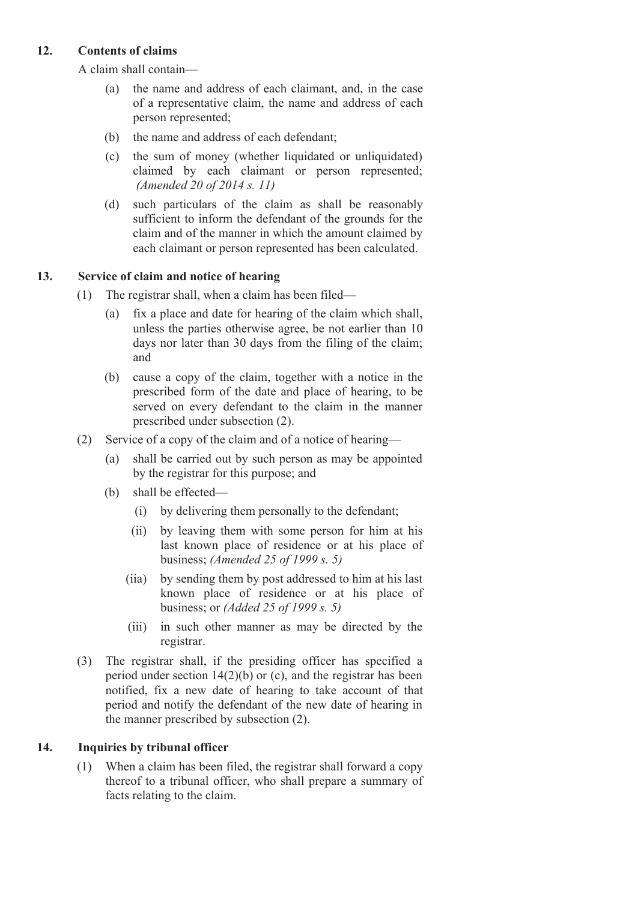## **12. Contents of claims**

A claim shall contain—

- (a) the name and address of each claimant, and, in the case of a representative claim, the name and address of each person represented;
- (b) the name and address of each defendant;
- (c) the sum of money (whether liquidated or unliquidated) claimed by each claimant or person represented; *(Amended 20 of 2014 s. 11)*
- (d) such particulars of the claim as shall be reasonably sufficient to inform the defendant of the grounds for the claim and of the manner in which the amount claimed by each claimant or person represented has been calculated.

## **13. Service of claim and notice of hearing**

- (1) The registrar shall, when a claim has been filed—
	- (a) fix a place and date for hearing of the claim which shall, unless the parties otherwise agree, be not earlier than 10 days nor later than 30 days from the filing of the claim; and
	- (b) cause a copy of the claim, together with a notice in the prescribed form of the date and place of hearing, to be served on every defendant to the claim in the manner prescribed under subsection (2).
- (2) Service of a copy of the claim and of a notice of hearing—
	- (a) shall be carried out by such person as may be appointed by the registrar for this purpose; and
	- (b) shall be effected—
		- (i) by delivering them personally to the defendant;
		- (ii) by leaving them with some person for him at his last known place of residence or at his place of business; *(Amended 25 of 1999 s. 5)*
		- (iia) by sending them by post addressed to him at his last known place of residence or at his place of business; or *(Added 25 of 1999 s. 5)*
		- (iii) in such other manner as may be directed by the registrar.
- (3) The registrar shall, if the presiding officer has specified a period under section 14(2)(b) or (c), and the registrar has been notified, fix a new date of hearing to take account of that period and notify the defendant of the new date of hearing in the manner prescribed by subsection (2).

## **14. Inquiries by tribunal officer**

(1) When a claim has been filed, the registrar shall forward a copy thereof to a tribunal officer, who shall prepare a summary of facts relating to the claim.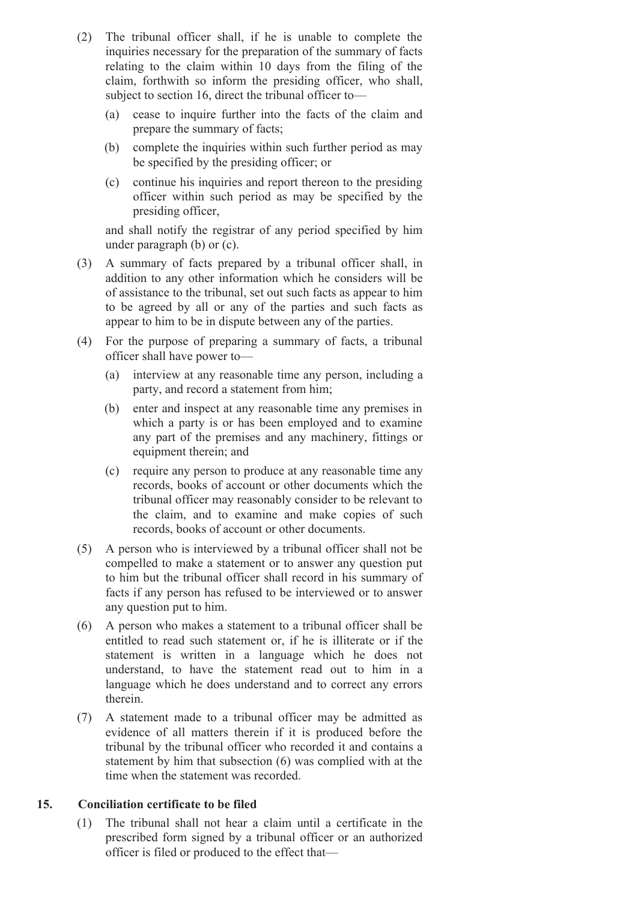- (2) The tribunal officer shall, if he is unable to complete the inquiries necessary for the preparation of the summary of facts relating to the claim within 10 days from the filing of the claim, forthwith so inform the presiding officer, who shall, subject to section 16, direct the tribunal officer to—
	- (a) cease to inquire further into the facts of the claim and prepare the summary of facts;
	- (b) complete the inquiries within such further period as may be specified by the presiding officer; or
	- (c) continue his inquiries and report thereon to the presiding officer within such period as may be specified by the presiding officer,

and shall notify the registrar of any period specified by him under paragraph (b) or (c).

- (3) A summary of facts prepared by a tribunal officer shall, in addition to any other information which he considers will be of assistance to the tribunal, set out such facts as appear to him to be agreed by all or any of the parties and such facts as appear to him to be in dispute between any of the parties.
- (4) For the purpose of preparing a summary of facts, a tribunal officer shall have power to—
	- (a) interview at any reasonable time any person, including a party, and record a statement from him;
	- (b) enter and inspect at any reasonable time any premises in which a party is or has been employed and to examine any part of the premises and any machinery, fittings or equipment therein; and
	- (c) require any person to produce at any reasonable time any records, books of account or other documents which the tribunal officer may reasonably consider to be relevant to the claim, and to examine and make copies of such records, books of account or other documents.
- (5) A person who is interviewed by a tribunal officer shall not be compelled to make a statement or to answer any question put to him but the tribunal officer shall record in his summary of facts if any person has refused to be interviewed or to answer any question put to him.
- (6) A person who makes a statement to a tribunal officer shall be entitled to read such statement or, if he is illiterate or if the statement is written in a language which he does not understand, to have the statement read out to him in a language which he does understand and to correct any errors therein.
- (7) A statement made to a tribunal officer may be admitted as evidence of all matters therein if it is produced before the tribunal by the tribunal officer who recorded it and contains a statement by him that subsection (6) was complied with at the time when the statement was recorded.

## **15. Conciliation certificate to be filed**

(1) The tribunal shall not hear a claim until a certificate in the prescribed form signed by a tribunal officer or an authorized officer is filed or produced to the effect that—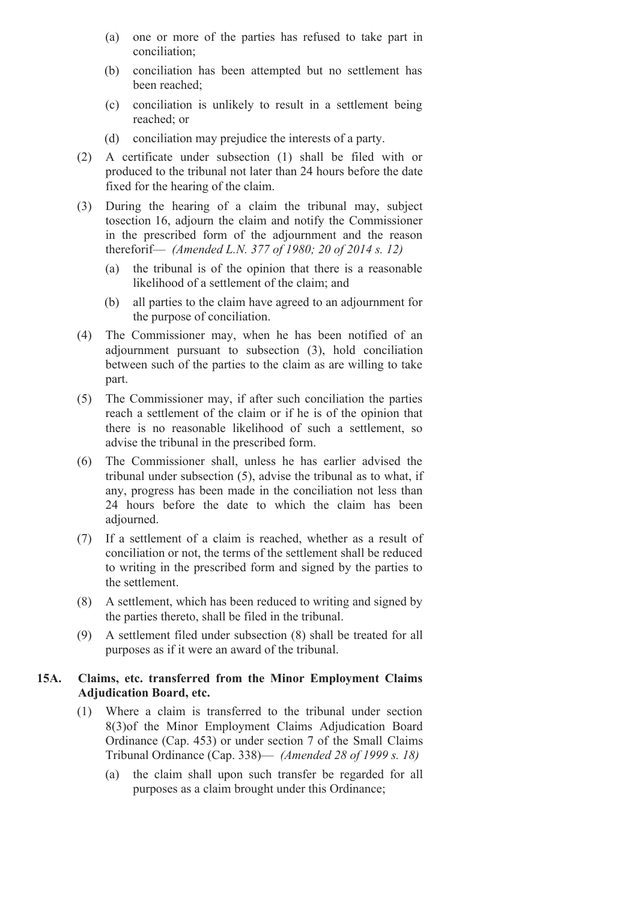- (a) one or more of the parties has refused to take part in conciliation;
- (b) conciliation has been attempted but no settlement has been reached;
- (c) conciliation is unlikely to result in a settlement being reached; or
- (d) conciliation may prejudice the interests of a party.
- (2) A certificate under subsection (1) shall be filed with or produced to the tribunal not later than 24 hours before the date fixed for the hearing of the claim.
- (3) During the hearing of a claim the tribunal may, subject tosection 16, adjourn the claim and notify the Commissioner in the prescribed form of the adjournment and the reason thereforif— *(Amended L.N. 377 of 1980; 20 of 2014 s. 12)*
	- (a) the tribunal is of the opinion that there is a reasonable likelihood of a settlement of the claim; and
	- (b) all parties to the claim have agreed to an adjournment for the purpose of conciliation.
- (4) The Commissioner may, when he has been notified of an adjournment pursuant to subsection (3), hold conciliation between such of the parties to the claim as are willing to take part.
- (5) The Commissioner may, if after such conciliation the parties reach a settlement of the claim or if he is of the opinion that there is no reasonable likelihood of such a settlement, so advise the tribunal in the prescribed form.
- (6) The Commissioner shall, unless he has earlier advised the tribunal under subsection (5), advise the tribunal as to what, if any, progress has been made in the conciliation not less than 24 hours before the date to which the claim has been adjourned.
- (7) If a settlement of a claim is reached, whether as a result of conciliation or not, the terms of the settlement shall be reduced to writing in the prescribed form and signed by the parties to the settlement.
- (8) A settlement, which has been reduced to writing and signed by the parties thereto, shall be filed in the tribunal.
- (9) A settlement filed under subsection (8) shall be treated for all purposes as if it were an award of the tribunal.

### **15A. Claims, etc. transferred from the Minor Employment Claims Adjudication Board, etc.**

- (1) Where a claim is transferred to the tribunal under section 8(3)of the Minor Employment Claims Adjudication Board Ordinance (Cap. 453) or under section 7 of the Small Claims Tribunal Ordinance (Cap. 338)— *(Amended 28 of 1999 s. 18)*
	- (a) the claim shall upon such transfer be regarded for all purposes as a claim brought under this Ordinance;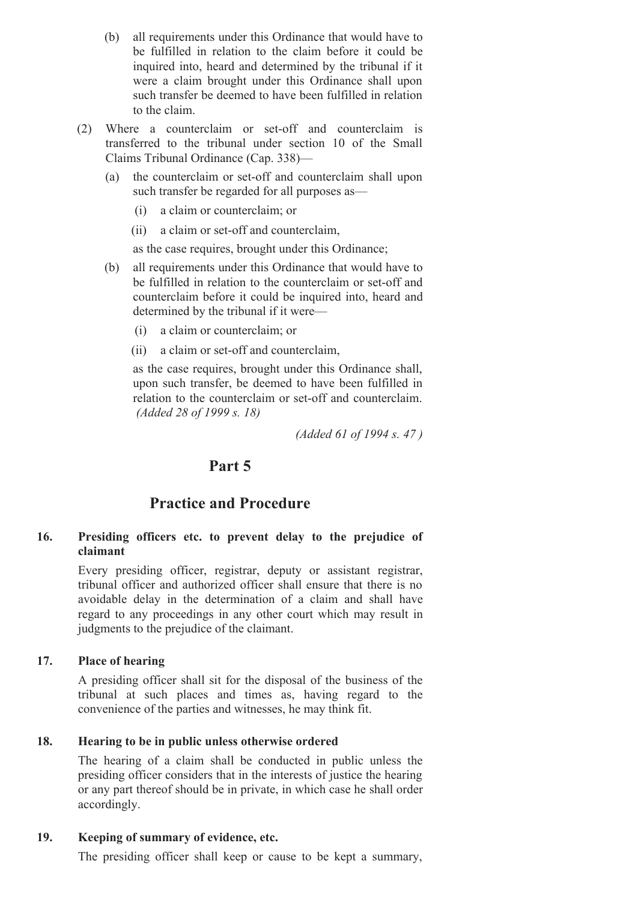- (b) all requirements under this Ordinance that would have to be fulfilled in relation to the claim before it could be inquired into, heard and determined by the tribunal if it were a claim brought under this Ordinance shall upon such transfer be deemed to have been fulfilled in relation to the claim.
- $(2)$  Where a counterclaim or set-off and counterclaim is transferred to the tribunal under section 10 of the Small Claims Tribunal Ordinance (Cap. 338)—
	- (a) the counterclaim or set-off and counterclaim shall upon such transfer be regarded for all purposes as—
		- (i) a claim or counterclaim; or
		- (ii) a claim or set-off and counterclaim,

as the case requires, brought under this Ordinance;

- (b) all requirements under this Ordinance that would have to be fulfilled in relation to the counterclaim or set-off and counterclaim before it could be inquired into, heard and determined by the tribunal if it were—
	- (i) a claim or counterclaim; or
	- (ii) a claim or set-off and counterclaim,

as the case requires, brought under this Ordinance shall, upon such transfer, be deemed to have been fulfilled in relation to the counterclaim or set-off and counterclaim. *(Added 28 of 1999 s. 18)*

*(Added 61 of 1994 s. 47 )*

# **Part 5**

# **Practice and Procedure**

## **16. Presiding officers etc. to prevent delay to the prejudice of claimant**

Every presiding officer, registrar, deputy or assistant registrar, tribunal officer and authorized officer shall ensure that there is no avoidable delay in the determination of a claim and shall have regard to any proceedings in any other court which may result in judgments to the prejudice of the claimant.

## **17. Place of hearing**

A presiding officer shall sit for the disposal of the business of the tribunal at such places and times as, having regard to the convenience of the parties and witnesses, he may think fit.

## **18. Hearing to be in public unless otherwise ordered**

The hearing of a claim shall be conducted in public unless the presiding officer considers that in the interests of justice the hearing or any part thereof should be in private, in which case he shall order accordingly.

## **19. Keeping of summary of evidence, etc.**

The presiding officer shall keep or cause to be kept a summary,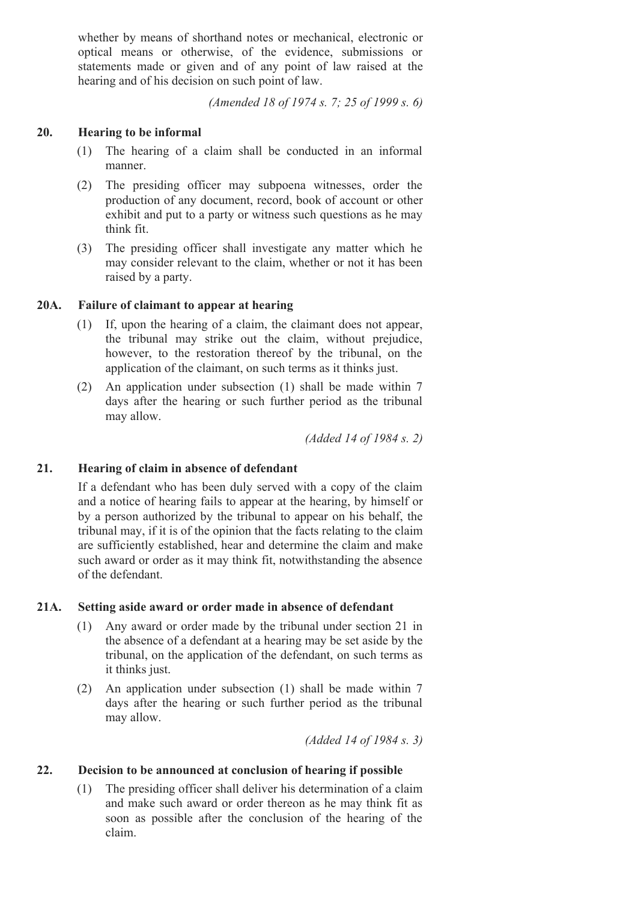whether by means of shorthand notes or mechanical, electronic or optical means or otherwise, of the evidence, submissions or statements made or given and of any point of law raised at the hearing and of his decision on such point of law.

*(Amended 18 of 1974 s. 7; 25 of 1999 s. 6)*

#### **20. Hearing to be informal**

- (1) The hearing of a claim shall be conducted in an informal manner.
- (2) The presiding officer may subpoena witnesses, order the production of any document, record, book of account or other exhibit and put to a party or witness such questions as he may think fit.
- (3) The presiding officer shall investigate any matter which he may consider relevant to the claim, whether or not it has been raised by a party.

#### **20A. Failure of claimant to appear at hearing**

- (1) If, upon the hearing of a claim, the claimant does not appear, the tribunal may strike out the claim, without prejudice, however, to the restoration thereof by the tribunal, on the application of the claimant, on such terms as it thinks just.
- (2) An application under subsection (1) shall be made within 7 days after the hearing or such further period as the tribunal may allow.

*(Added 14 of 1984 s. 2)*

#### **21. Hearing of claim in absence of defendant**

If a defendant who has been duly served with a copy of the claim and a notice of hearing fails to appear at the hearing, by himself or by a person authorized by the tribunal to appear on his behalf, the tribunal may, if it is of the opinion that the facts relating to the claim are sufficiently established, hear and determine the claim and make such award or order as it may think fit, notwithstanding the absence of the defendant.

#### **21A. Setting aside award or order made in absence of defendant**

- (1) Any award or order made by the tribunal under section 21 in the absence of a defendant at a hearing may be set aside by the tribunal, on the application of the defendant, on such terms as it thinks just.
- (2) An application under subsection (1) shall be made within 7 days after the hearing or such further period as the tribunal may allow.

*(Added 14 of 1984 s. 3)*

#### **22. Decision to be announced at conclusion of hearing if possible**

(1) The presiding officer shall deliver his determination of a claim and make such award or order thereon as he may think fit as soon as possible after the conclusion of the hearing of the claim.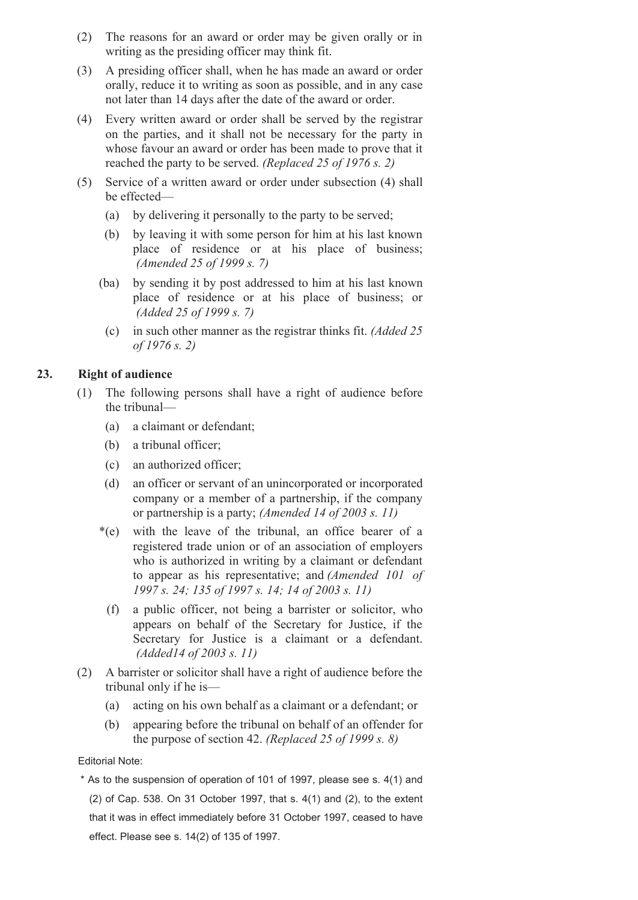- (2) The reasons for an award or order may be given orally or in writing as the presiding officer may think fit.
- (3) A presiding officer shall, when he has made an award or order orally, reduce it to writing as soon as possible, and in any case not later than 14 days after the date of the award or order.
- (4) Every written award or order shall be served by the registrar on the parties, and it shall not be necessary for the party in whose favour an award or order has been made to prove that it reached the party to be served. *(Replaced 25 of 1976 s. 2)*
- (5) Service of a written award or order under subsection (4) shall be effected—
	- (a) by delivering it personally to the party to be served;
	- (b) by leaving it with some person for him at his last known place of residence or at his place of business; *(Amended 25 of 1999 s. 7)*
	- (ba) by sending it by post addressed to him at his last known place of residence or at his place of business; or *(Added 25 of 1999 s. 7)*
		- (c) in such other manner as the registrar thinks fit. *(Added 25 of 1976 s. 2)*

## **23. Right of audience**

- (1) The following persons shall have a right of audience before the tribunal—
	- (a) a claimant or defendant;
	- (b) a tribunal officer;
	- (c) an authorized officer;
	- (d) an officer or servant of an unincorporated or incorporated company or a member of a partnership, if the company or partnership is a party; *(Amended 14 of 2003 s. 11)*
	- \*(e) with the leave of the tribunal, an office bearer of a registered trade union or of an association of employers who is authorized in writing by a claimant or defendant to appear as his representative; and *(Amended 101 of 1997 s. 24; 135 of 1997 s. 14; 14 of 2003 s. 11)*
	- (f) a public officer, not being a barrister or solicitor, who appears on behalf of the Secretary for Justice, if the Secretary for Justice is a claimant or a defendant. *(Added14 of 2003 s. 11)*
- (2) A barrister or solicitor shall have a right of audience before the tribunal only if he is—
	- (a) acting on his own behalf as a claimant or a defendant; or
	- (b) appearing before the tribunal on behalf of an offender for the purpose of section 42. *(Replaced 25 of 1999 s. 8)*

#### Editorial Note:

\* As to the suspension of operation of 101 of 1997, please see s. 4(1) and (2) of Cap. 538. On 31 October 1997, that s. 4(1) and (2), to the extent that it was in effect immediately before 31 October 1997, ceased to have effect. Please see s. 14(2) of 135 of 1997.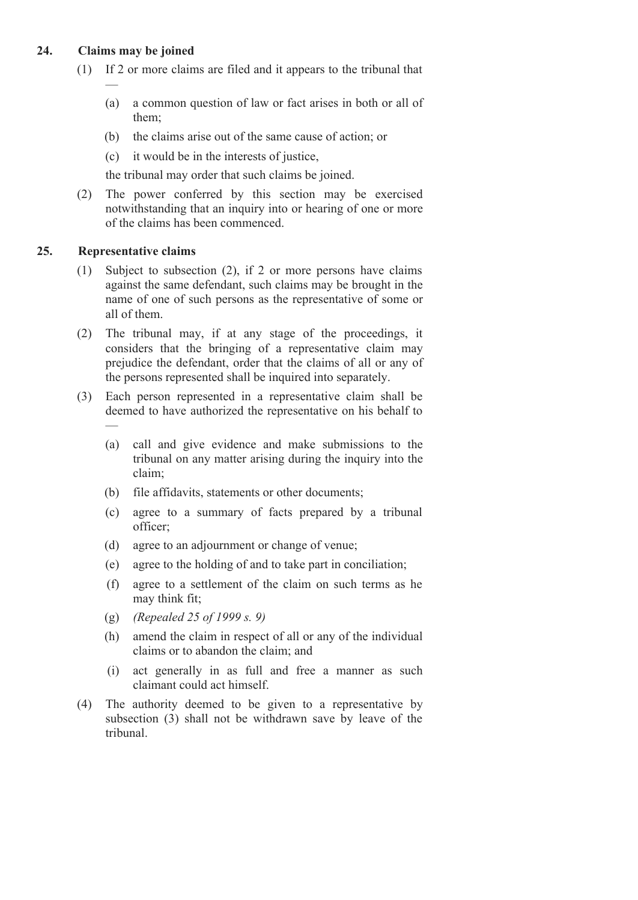## **24. Claims may be joined**

—

- (1) If 2 or more claims are filed and it appears to the tribunal that
	- (a) a common question of law or fact arises in both or all of them;
	- (b) the claims arise out of the same cause of action; or
	- (c) it would be in the interests of justice,

the tribunal may order that such claims be joined.

(2) The power conferred by this section may be exercised notwithstanding that an inquiry into or hearing of one or more of the claims has been commenced.

### **25. Representative claims**

- (1) Subject to subsection (2), if 2 or more persons have claims against the same defendant, such claims may be brought in the name of one of such persons as the representative of some or all of them.
- (2) The tribunal may, if at any stage of the proceedings, it considers that the bringing of a representative claim may prejudice the defendant, order that the claims of all or any of the persons represented shall be inquired into separately.
- (3) Each person represented in a representative claim shall be deemed to have authorized the representative on his behalf to —
	- (a) call and give evidence and make submissions to the tribunal on any matter arising during the inquiry into the claim;
	- (b) file affidavits, statements or other documents;
	- (c) agree to a summary of facts prepared by a tribunal officer;
	- (d) agree to an adjournment or change of venue;
	- (e) agree to the holding of and to take part in conciliation;
	- (f) agree to a settlement of the claim on such terms as he may think fit;
	- (g) *(Repealed 25 of 1999 s. 9)*
	- (h) amend the claim in respect of all or any of the individual claims or to abandon the claim; and
	- (i) act generally in as full and free a manner as such claimant could act himself.
- (4) The authority deemed to be given to a representative by subsection (3) shall not be withdrawn save by leave of the tribunal.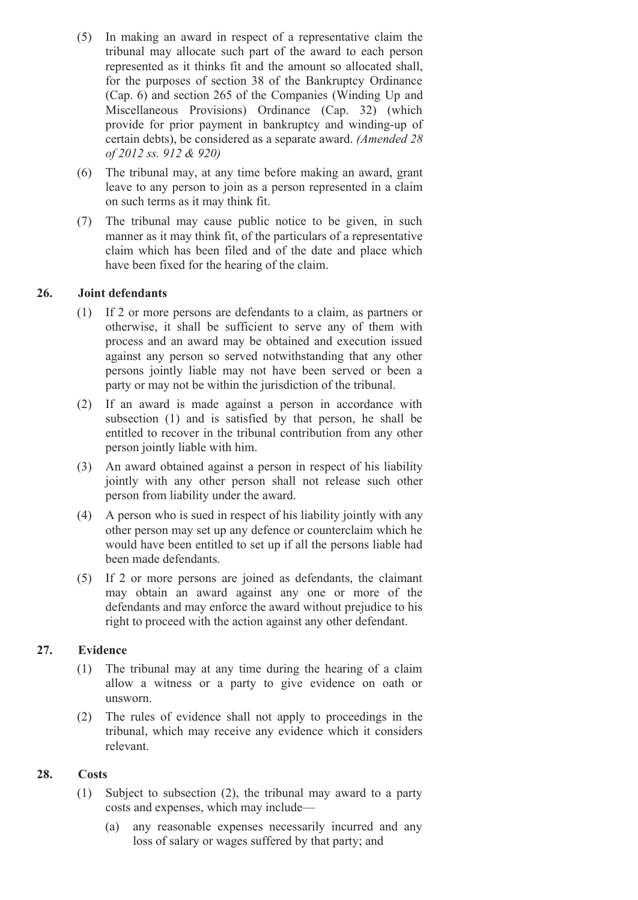- (5) In making an award in respect of a representative claim the tribunal may allocate such part of the award to each person represented as it thinks fit and the amount so allocated shall, for the purposes of section 38 of the Bankruptcy Ordinance (Cap. 6) and section 265 of the Companies (Winding Up and Miscellaneous Provisions) Ordinance (Cap. 32) (which provide for prior payment in bankruptcy and winding-up of certain debts), be considered as a separate award. *(Amended 28 of 2012 ss. 912 & 920)*
- (6) The tribunal may, at any time before making an award, grant leave to any person to join as a person represented in a claim on such terms as it may think fit.
- (7) The tribunal may cause public notice to be given, in such manner as it may think fit, of the particulars of a representative claim which has been filed and of the date and place which have been fixed for the hearing of the claim.

## **26. Joint defendants**

- (1) If 2 or more persons are defendants to a claim, as partners or otherwise, it shall be sufficient to serve any of them with process and an award may be obtained and execution issued against any person so served notwithstanding that any other persons jointly liable may not have been served or been a party or may not be within the jurisdiction of the tribunal.
- (2) If an award is made against a person in accordance with subsection (1) and is satisfied by that person, he shall be entitled to recover in the tribunal contribution from any other person jointly liable with him.
- (3) An award obtained against a person in respect of his liability jointly with any other person shall not release such other person from liability under the award.
- (4) A person who is sued in respect of his liability jointly with any other person may set up any defence or counterclaim which he would have been entitled to set up if all the persons liable had been made defendants.
- (5) If 2 or more persons are joined as defendants, the claimant may obtain an award against any one or more of the defendants and may enforce the award without prejudice to his right to proceed with the action against any other defendant.

## **27. Evidence**

- (1) The tribunal may at any time during the hearing of a claim allow a witness or a party to give evidence on oath or unsworn.
- (2) The rules of evidence shall not apply to proceedings in the tribunal, which may receive any evidence which it considers relevant.

#### **28. Costs**

- (1) Subject to subsection (2), the tribunal may award to a party costs and expenses, which may include—
	- (a) any reasonable expenses necessarily incurred and any loss of salary or wages suffered by that party; and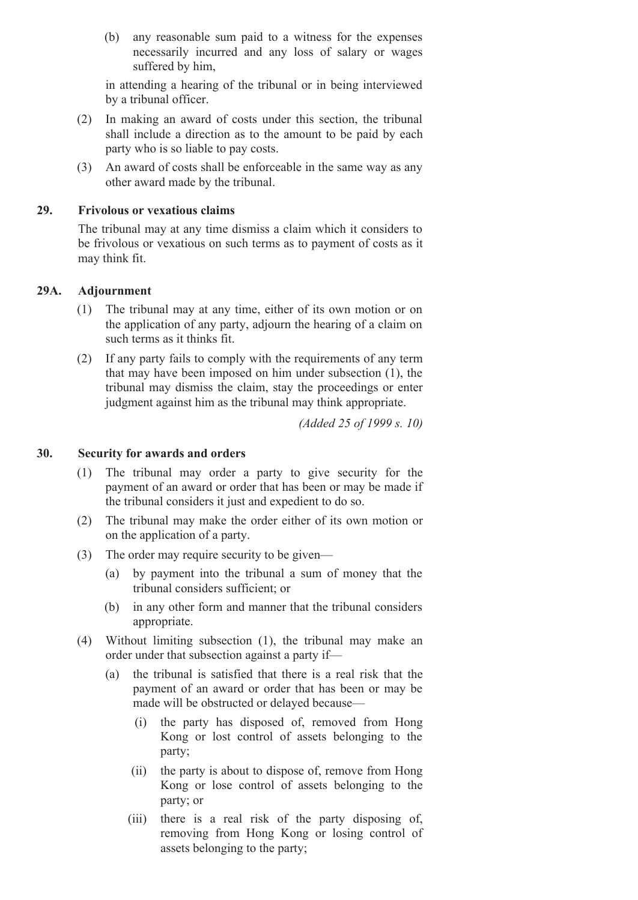(b) any reasonable sum paid to a witness for the expenses necessarily incurred and any loss of salary or wages suffered by him,

in attending a hearing of the tribunal or in being interviewed by a tribunal officer.

- (2) In making an award of costs under this section, the tribunal shall include a direction as to the amount to be paid by each party who is so liable to pay costs.
- (3) An award of costs shall be enforceable in the same way as any other award made by the tribunal.

#### **29. Frivolous or vexatious claims**

The tribunal may at any time dismiss a claim which it considers to be frivolous or vexatious on such terms as to payment of costs as it may think fit.

## **29A. Adjournment**

- (1) The tribunal may at any time, either of its own motion or on the application of any party, adjourn the hearing of a claim on such terms as it thinks fit.
- (2) If any party fails to comply with the requirements of any term that may have been imposed on him under subsection (1), the tribunal may dismiss the claim, stay the proceedings or enter judgment against him as the tribunal may think appropriate.

*(Added 25 of 1999 s. 10)*

## **30. Security for awards and orders**

- (1) The tribunal may order a party to give security for the payment of an award or order that has been or may be made if the tribunal considers it just and expedient to do so.
- (2) The tribunal may make the order either of its own motion or on the application of a party.
- (3) The order may require security to be given—
	- (a) by payment into the tribunal a sum of money that the tribunal considers sufficient; or
	- (b) in any other form and manner that the tribunal considers appropriate.
- (4) Without limiting subsection (1), the tribunal may make an order under that subsection against a party if—
	- (a) the tribunal is satisfied that there is a real risk that the payment of an award or order that has been or may be made will be obstructed or delayed because—
		- (i) the party has disposed of, removed from Hong Kong or lost control of assets belonging to the party;
		- (ii) the party is about to dispose of, remove from Hong Kong or lose control of assets belonging to the party; or
		- (iii) there is a real risk of the party disposing of, removing from Hong Kong or losing control of assets belonging to the party;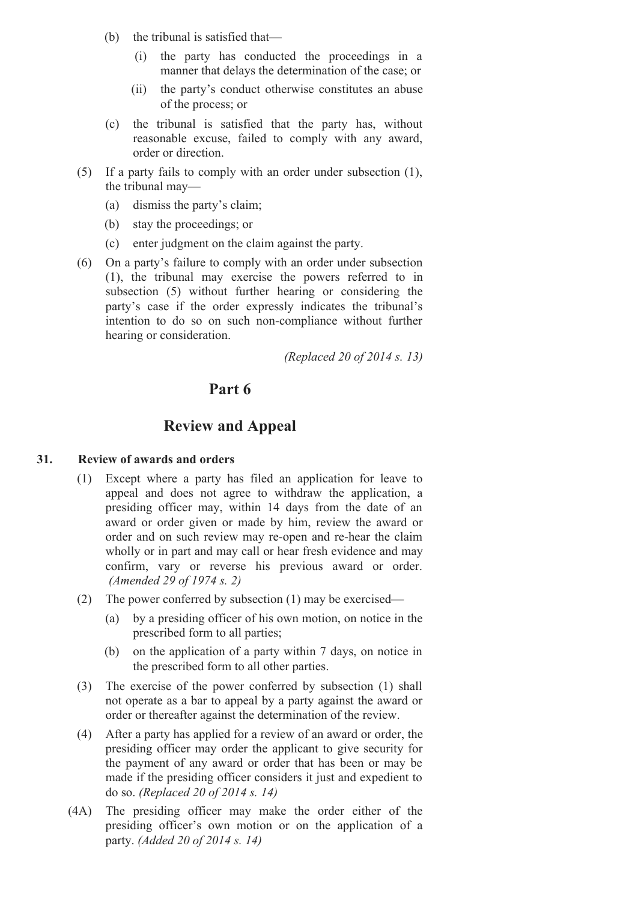- (b) the tribunal is satisfied that—
	- (i) the party has conducted the proceedings in a manner that delays the determination of the case; or
	- (ii) the party's conduct otherwise constitutes an abuse of the process; or
- (c) the tribunal is satisfied that the party has, without reasonable excuse, failed to comply with any award, order or direction.
- (5) If a party fails to comply with an order under subsection (1), the tribunal may—
	- (a) dismiss the party's claim;
	- (b) stay the proceedings; or
	- (c) enter judgment on the claim against the party.
- (6) On a party's failure to comply with an order under subsection (1), the tribunal may exercise the powers referred to in subsection (5) without further hearing or considering the party's case if the order expressly indicates the tribunal's intention to do so on such non-compliance without further hearing or consideration.

*(Replaced 20 of 2014 s. 13)*

## **Part 6**

## **Review and Appeal**

#### **31. Review of awards and orders**

- (1) Except where a party has filed an application for leave to appeal and does not agree to withdraw the application, a presiding officer may, within 14 days from the date of an award or order given or made by him, review the award or order and on such review may re-open and re-hear the claim wholly or in part and may call or hear fresh evidence and may confirm, vary or reverse his previous award or order. *(Amended 29 of 1974 s. 2)*
- (2) The power conferred by subsection (1) may be exercised—
	- (a) by a presiding officer of his own motion, on notice in the prescribed form to all parties;
	- (b) on the application of a party within 7 days, on notice in the prescribed form to all other parties.
- (3) The exercise of the power conferred by subsection (1) shall not operate as a bar to appeal by a party against the award or order or thereafter against the determination of the review.
- (4) After a party has applied for a review of an award or order, the presiding officer may order the applicant to give security for the payment of any award or order that has been or may be made if the presiding officer considers it just and expedient to do so. *(Replaced 20 of 2014 s. 14)*
- (4A) The presiding officer may make the order either of the presiding officer's own motion or on the application of a party. *(Added 20 of 2014 s. 14)*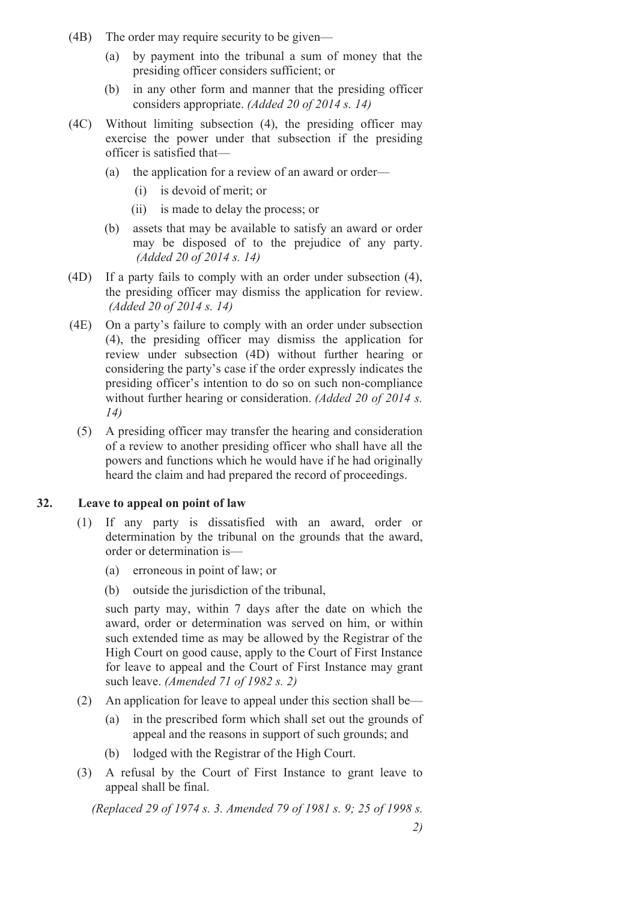- (4B) The order may require security to be given—
	- (a) by payment into the tribunal a sum of money that the presiding officer considers sufficient; or
	- (b) in any other form and manner that the presiding officer considers appropriate. *(Added 20 of 2014 s. 14)*
- (4C) Without limiting subsection (4), the presiding officer may exercise the power under that subsection if the presiding officer is satisfied that—
	- (a) the application for a review of an award or order—
		- (i) is devoid of merit; or
		- (ii) is made to delay the process; or
	- (b) assets that may be available to satisfy an award or order may be disposed of to the prejudice of any party. *(Added 20 of 2014 s. 14)*
- (4D) If a party fails to comply with an order under subsection (4), the presiding officer may dismiss the application for review. *(Added 20 of 2014 s. 14)*
- (4E) On a party's failure to comply with an order under subsection (4), the presiding officer may dismiss the application for review under subsection (4D) without further hearing or considering the party's case if the order expressly indicates the presiding officer's intention to do so on such non-compliance without further hearing or consideration. *(Added 20 of 2014 s. 14)*
	- (5) A presiding officer may transfer the hearing and consideration of a review to another presiding officer who shall have all the powers and functions which he would have if he had originally heard the claim and had prepared the record of proceedings.

#### **32. Leave to appeal on point of law**

- (1) If any party is dissatisfied with an award, order or determination by the tribunal on the grounds that the award, order or determination is—
	- (a) erroneous in point of law; or
	- (b) outside the jurisdiction of the tribunal,

such party may, within 7 days after the date on which the award, order or determination was served on him, or within such extended time as may be allowed by the Registrar of the High Court on good cause, apply to the Court of First Instance for leave to appeal and the Court of First Instance may grant such leave. *(Amended 71 of 1982 s. 2)*

- (2) An application for leave to appeal under this section shall be—
	- (a) in the prescribed form which shall set out the grounds of appeal and the reasons in support of such grounds; and
	- (b) lodged with the Registrar of the High Court.
- (3) A refusal by the Court of First Instance to grant leave to appeal shall be final.

*(Replaced 29 of 1974 s. 3. Amended 79 of 1981 s. 9; 25 of 1998 s.*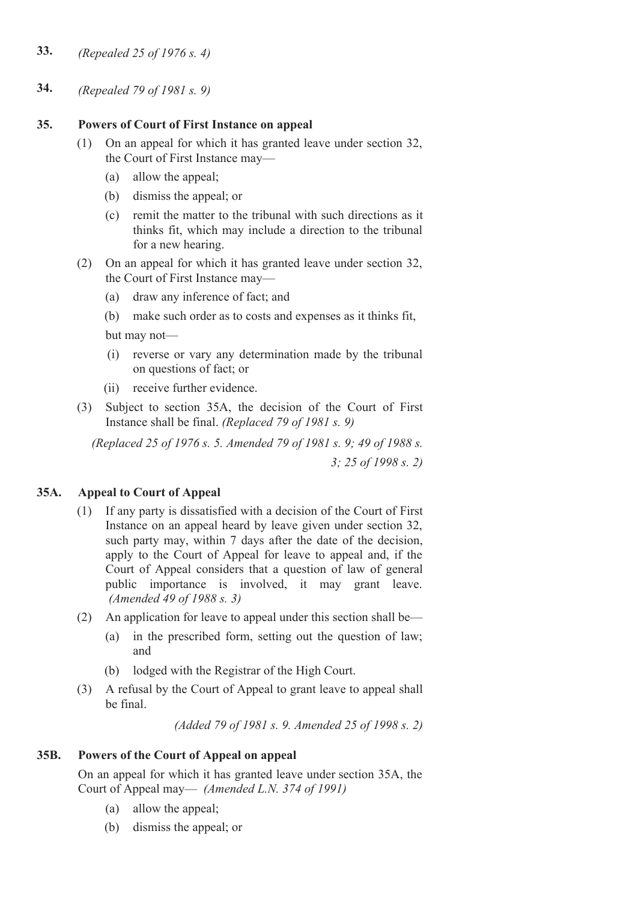- **33.** *(Repealed 25 of 1976 s. 4)*
- **34.** *(Repealed 79 of 1981 s. 9)*

## **35. Powers of Court of First Instance on appeal**

- (1) On an appeal for which it has granted leave under section 32, the Court of First Instance may—
	- (a) allow the appeal;
	- (b) dismiss the appeal; or
	- (c) remit the matter to the tribunal with such directions as it thinks fit, which may include a direction to the tribunal for a new hearing.
- (2) On an appeal for which it has granted leave under section 32, the Court of First Instance may—
	- (a) draw any inference of fact; and
	- (b) make such order as to costs and expenses as it thinks fit,

but may not—

- (i) reverse or vary any determination made by the tribunal on questions of fact; or
- (ii) receive further evidence
- (3) Subject to section 35A, the decision of the Court of First Instance shall be final. *(Replaced 79 of 1981 s. 9)*

*(Replaced 25 of 1976 s. 5. Amended 79 of 1981 s. 9; 49 of 1988 s. 3; 25 of 1998 s. 2)*

## **35A. Appeal to Court of Appeal**

- (1) If any party is dissatisfied with a decision of the Court of First Instance on an appeal heard by leave given under section 32, such party may, within 7 days after the date of the decision, apply to the Court of Appeal for leave to appeal and, if the Court of Appeal considers that a question of law of general public importance is involved, it may grant leave. *(Amended 49 of 1988 s. 3)*
- (2) An application for leave to appeal under this section shall be—
	- (a) in the prescribed form, setting out the question of law; and
	- (b) lodged with the Registrar of the High Court.
- (3) A refusal by the Court of Appeal to grant leave to appeal shall be final.

*(Added 79 of 1981 s. 9. Amended 25 of 1998 s. 2)*

## **35B. Powers of the Court of Appeal on appeal**

On an appeal for which it has granted leave under section 35A, the Court of Appeal may— *(Amended L.N. 374 of 1991)*

- (a) allow the appeal;
- (b) dismiss the appeal; or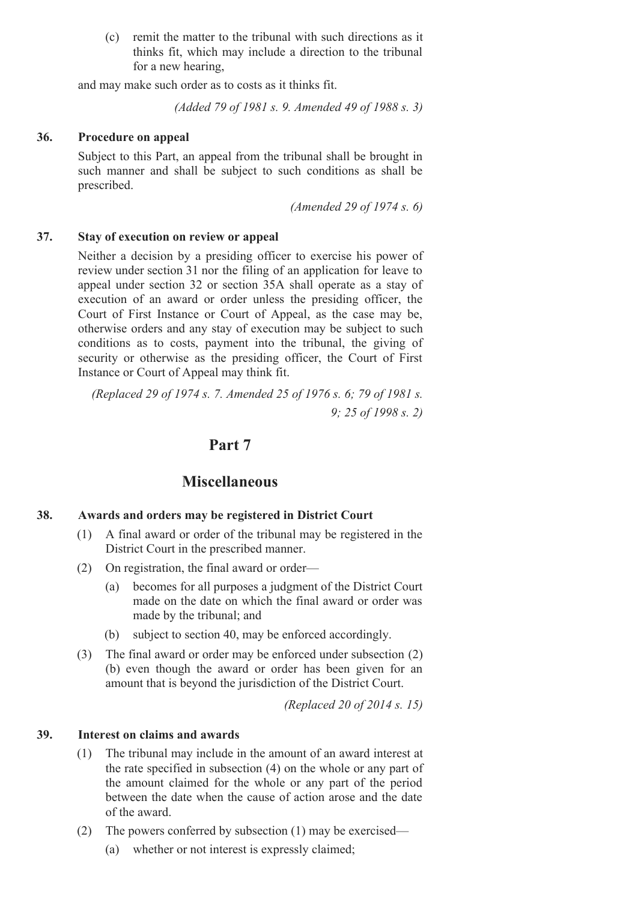(c) remit the matter to the tribunal with such directions as it thinks fit, which may include a direction to the tribunal for a new hearing,

and may make such order as to costs as it thinks fit.

*(Added 79 of 1981 s. 9. Amended 49 of 1988 s. 3)*

#### **36. Procedure on appeal**

Subject to this Part, an appeal from the tribunal shall be brought in such manner and shall be subject to such conditions as shall be prescribed.

*(Amended 29 of 1974 s. 6)*

#### **37. Stay of execution on review or appeal**

Neither a decision by a presiding officer to exercise his power of review under section 31 nor the filing of an application for leave to appeal under section 32 or section 35A shall operate as a stay of execution of an award or order unless the presiding officer, the Court of First Instance or Court of Appeal, as the case may be, otherwise orders and any stay of execution may be subject to such conditions as to costs, payment into the tribunal, the giving of security or otherwise as the presiding officer, the Court of First Instance or Court of Appeal may think fit.

*(Replaced 29 of 1974 s. 7. Amended 25 of 1976 s. 6; 79 of 1981 s. 9; 25 of 1998 s. 2)*

## **Part 7**

## **Miscellaneous**

#### **38. Awards and orders may be registered in District Court**

- (1) A final award or order of the tribunal may be registered in the District Court in the prescribed manner.
- (2) On registration, the final award or order—
	- (a) becomes for all purposes a judgment of the District Court made on the date on which the final award or order was made by the tribunal; and
	- (b) subject to section 40, may be enforced accordingly.
- (3) The final award or order may be enforced under subsection (2) (b) even though the award or order has been given for an amount that is beyond the jurisdiction of the District Court.

*(Replaced 20 of 2014 s. 15)*

#### **39. Interest on claims and awards**

- (1) The tribunal may include in the amount of an award interest at the rate specified in subsection (4) on the whole or any part of the amount claimed for the whole or any part of the period between the date when the cause of action arose and the date of the award.
- (2) The powers conferred by subsection (1) may be exercised—
	- (a) whether or not interest is expressly claimed;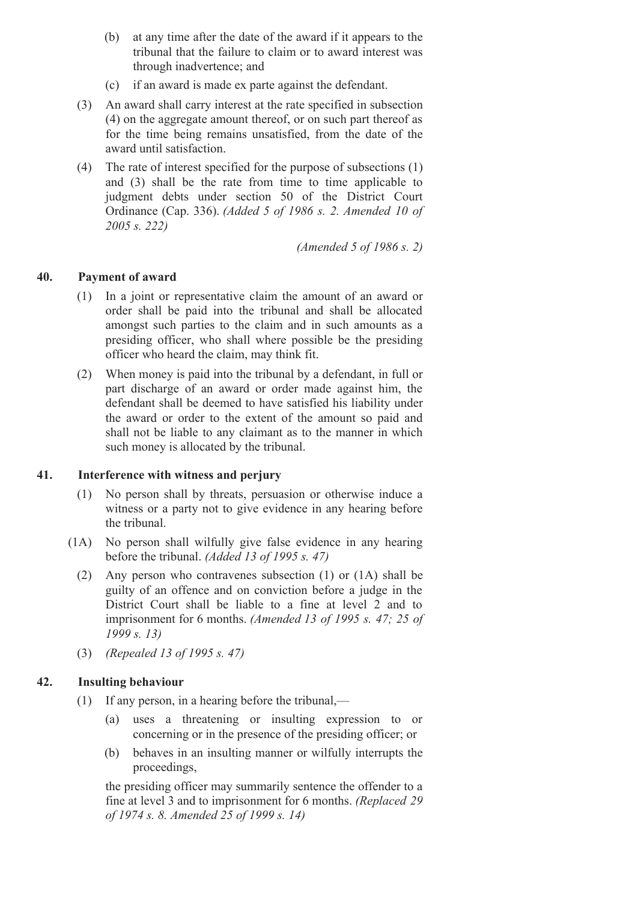- (b) at any time after the date of the award if it appears to the tribunal that the failure to claim or to award interest was through inadvertence; and
- (c) if an award is made ex parte against the defendant.
- (3) An award shall carry interest at the rate specified in subsection (4) on the aggregate amount thereof, or on such part thereof as for the time being remains unsatisfied, from the date of the award until satisfaction.
- (4) The rate of interest specified for the purpose of subsections (1) and (3) shall be the rate from time to time applicable to judgment debts under section 50 of the District Court Ordinance (Cap. 336). *(Added 5 of 1986 s. 2. Amended 10 of 2005 s. 222)*

*(Amended 5 of 1986 s. 2)*

## **40. Payment of award**

- (1) In a joint or representative claim the amount of an award or order shall be paid into the tribunal and shall be allocated amongst such parties to the claim and in such amounts as a presiding officer, who shall where possible be the presiding officer who heard the claim, may think fit.
- (2) When money is paid into the tribunal by a defendant, in full or part discharge of an award or order made against him, the defendant shall be deemed to have satisfied his liability under the award or order to the extent of the amount so paid and shall not be liable to any claimant as to the manner in which such money is allocated by the tribunal.

## **41. Interference with witness and perjury**

- (1) No person shall by threats, persuasion or otherwise induce a witness or a party not to give evidence in any hearing before the tribunal.
- (1A) No person shall wilfully give false evidence in any hearing before the tribunal. *(Added 13 of 1995 s. 47)*
	- (2) Any person who contravenes subsection (1) or (1A) shall be guilty of an offence and on conviction before a judge in the District Court shall be liable to a fine at level 2 and to imprisonment for 6 months. *(Amended 13 of 1995 s. 47; 25 of 1999 s. 13)*
	- (3) *(Repealed 13 of 1995 s. 47)*

## **42. Insulting behaviour**

- (1) If any person, in a hearing before the tribunal,—
	- (a) uses a threatening or insulting expression to or concerning or in the presence of the presiding officer; or
	- (b) behaves in an insulting manner or wilfully interrupts the proceedings,

the presiding officer may summarily sentence the offender to a fine at level 3 and to imprisonment for 6 months. *(Replaced 29 of 1974 s. 8. Amended 25 of 1999 s. 14)*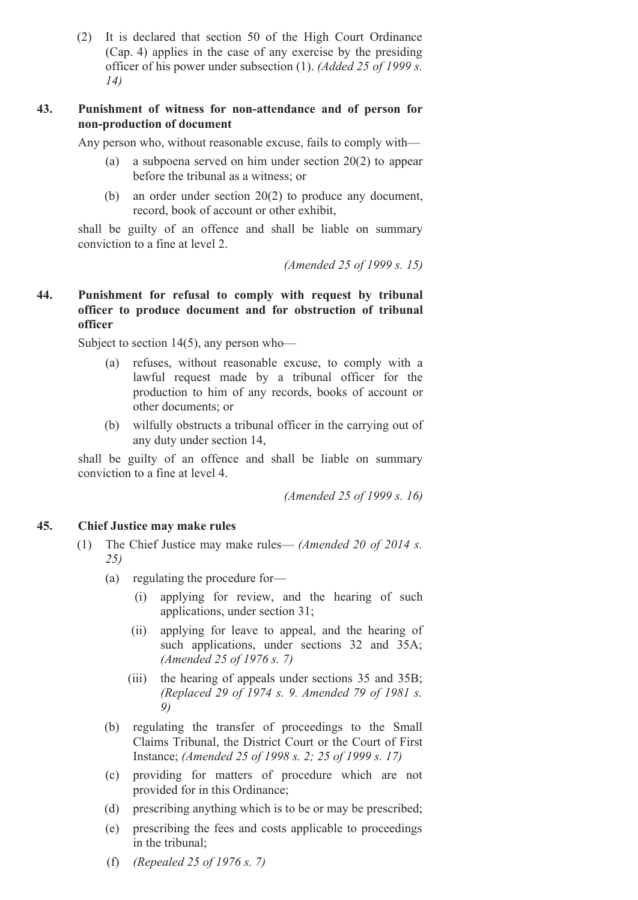(2) It is declared that section 50 of the High Court Ordinance (Cap. 4) applies in the case of any exercise by the presiding officer of his power under subsection (1). *(Added 25 of 1999 s. 14)*

#### **43. Punishment of witness for nonattendance and of person for non-production** of **document**

Any person who, without reasonable excuse, fails to comply with—

- (a) a subpoena served on him under section 20(2) to appear before the tribunal as a witness; or
- (b) an order under section 20(2) to produce any document, record, book of account or other exhibit,

shall be guilty of an offence and shall be liable on summary conviction to a fine at level 2.

*(Amended 25 of 1999 s. 15)*

### **44. Punishment for refusal to comply with request by tribunal officer to produce document and for obstruction of tribunal officer**

Subject to section 14(5), any person who—

- (a) refuses, without reasonable excuse, to comply with a lawful request made by a tribunal officer for the production to him of any records, books of account or other documents; or
- (b) wilfully obstructs a tribunal officer in the carrying out of any duty under section 14,

shall be guilty of an offence and shall be liable on summary conviction to a fine at level 4.

*(Amended 25 of 1999 s. 16)*

#### **45. Chief Justice may make rules**

- (1) The Chief Justice may make rules— *(Amended 20 of 2014 s. 25)*
	- (a) regulating the procedure for—
		- (i) applying for review, and the hearing of such applications, under section 31;
		- (ii) applying for leave to appeal, and the hearing of such applications, under sections 32 and 35A; *(Amended 25 of 1976 s. 7)*
		- (iii) the hearing of appeals under sections 35 and 35B; *(Replaced 29 of 1974 s. 9. Amended 79 of 1981 s. 9)*
	- (b) regulating the transfer of proceedings to the Small Claims Tribunal, the District Court or the Court of First Instance; *(Amended 25 of 1998 s. 2; 25 of 1999 s. 17)*
	- (c) providing for matters of procedure which are not provided for in this Ordinance;
	- (d) prescribing anything which is to be or may be prescribed;
	- (e) prescribing the fees and costs applicable to proceedings in the tribunal;
	- (f) *(Repealed 25 of 1976 s. 7)*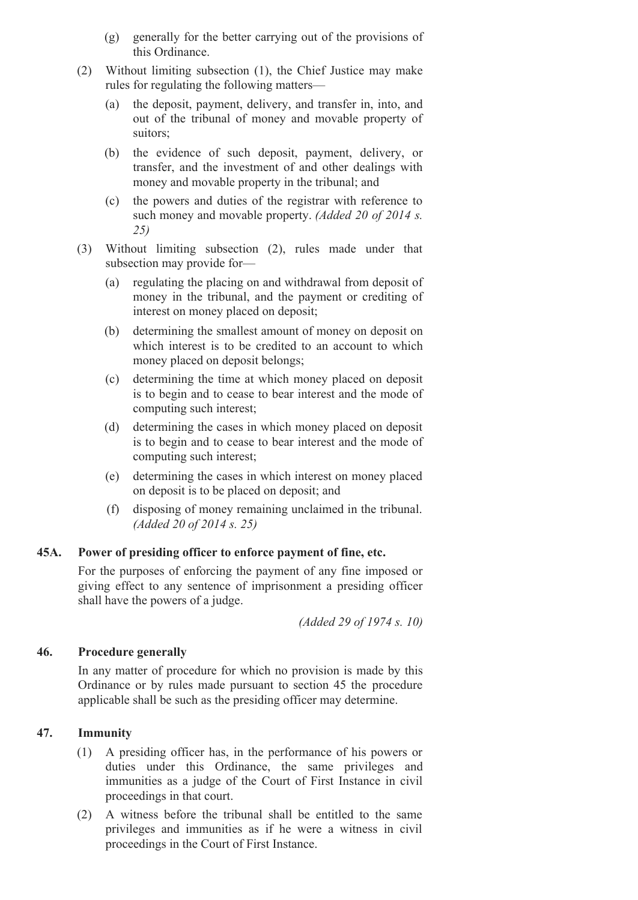- (g) generally for the better carrying out of the provisions of this Ordinance.
- (2) Without limiting subsection (1), the Chief Justice may make rules for regulating the following matters—
	- (a) the deposit, payment, delivery, and transfer in, into, and out of the tribunal of money and movable property of suitors;
	- (b) the evidence of such deposit, payment, delivery, or transfer, and the investment of and other dealings with money and movable property in the tribunal; and
	- (c) the powers and duties of the registrar with reference to such money and movable property. *(Added 20 of 2014 s. 25)*
- (3) Without limiting subsection (2), rules made under that subsection may provide for—
	- (a) regulating the placing on and withdrawal from deposit of money in the tribunal, and the payment or crediting of interest on money placed on deposit;
	- (b) determining the smallest amount of money on deposit on which interest is to be credited to an account to which money placed on deposit belongs;
	- (c) determining the time at which money placed on deposit is to begin and to cease to bear interest and the mode of computing such interest;
	- (d) determining the cases in which money placed on deposit is to begin and to cease to bear interest and the mode of computing such interest;
	- (e) determining the cases in which interest on money placed on deposit is to be placed on deposit; and
	- (f) disposing of money remaining unclaimed in the tribunal. *(Added 20 of 2014 s. 25)*

#### **45A. Power of presiding officer to enforce payment of fine, etc.**

For the purposes of enforcing the payment of any fine imposed or giving effect to any sentence of imprisonment a presiding officer shall have the powers of a judge.

*(Added 29 of 1974 s. 10)*

#### **46. Procedure generally**

In any matter of procedure for which no provision is made by this Ordinance or by rules made pursuant to section 45 the procedure applicable shall be such as the presiding officer may determine.

### **47. Immunity**

- (1) A presiding officer has, in the performance of his powers or duties under this Ordinance, the same privileges and immunities as a judge of the Court of First Instance in civil proceedings in that court.
- (2) A witness before the tribunal shall be entitled to the same privileges and immunities as if he were a witness in civil proceedings in the Court of First Instance.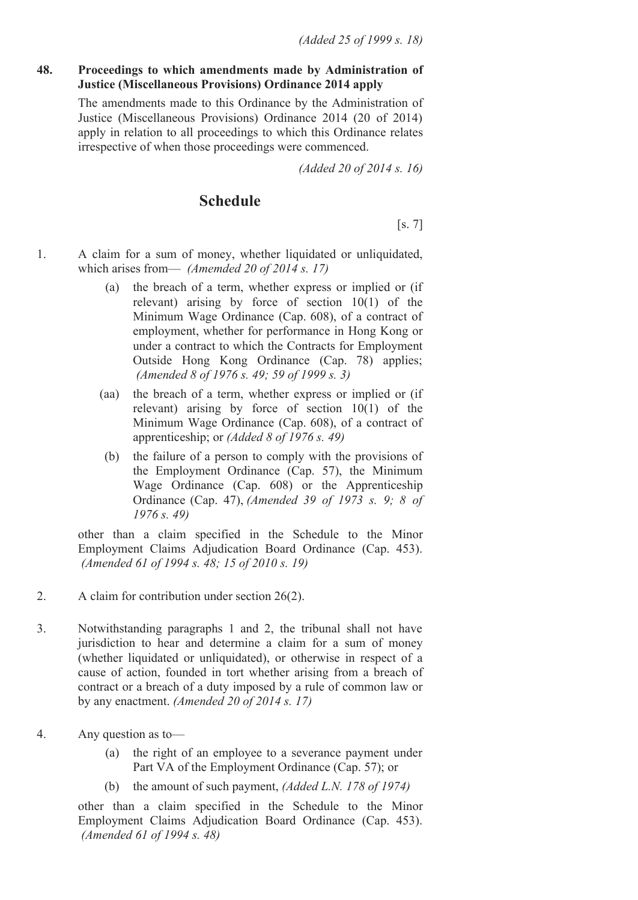#### **48. Proceedings to which amendments made by Administration of Justice (Miscellaneous Provisions) Ordinance 2014 apply**

The amendments made to this Ordinance by the Administration of Justice (Miscellaneous Provisions) Ordinance 2014 (20 of 2014) apply in relation to all proceedings to which this Ordinance relates irrespective of when those proceedings were commenced.

*(Added 20 of 2014 s. 16)*

# **Schedule**

[s. 7]

- 1. A claim for a sum of money, whether liquidated or unliquidated, which arises from— *(Amemded 20 of 2014 s. 17)*
	- (a) the breach of a term, whether express or implied or (if relevant) arising by force of section 10(1) of the Minimum Wage Ordinance (Cap. 608), of a contract of employment, whether for performance in Hong Kong or under a contract to which the Contracts for Employment Outside Hong Kong Ordinance (Cap. 78) applies; *(Amended 8 of 1976 s. 49; 59 of 1999 s. 3)*
	- (aa) the breach of a term, whether express or implied or (if relevant) arising by force of section 10(1) of the Minimum Wage Ordinance (Cap. 608), of a contract of apprenticeship; or *(Added 8 of 1976 s. 49)*
	- (b) the failure of a person to comply with the provisions of the Employment Ordinance (Cap. 57), the Minimum Wage Ordinance (Cap. 608) or the Apprenticeship Ordinance (Cap. 47), *(Amended 39 of 1973 s. 9; 8 of 1976 s. 49)*

other than a claim specified in the Schedule to the Minor Employment Claims Adjudication Board Ordinance (Cap. 453). *(Amended 61 of 1994 s. 48; 15 of 2010 s. 19)*

- 2. A claim for contribution under section 26(2).
- 3. Notwithstanding paragraphs 1 and 2, the tribunal shall not have jurisdiction to hear and determine a claim for a sum of money (whether liquidated or unliquidated), or otherwise in respect of a cause of action, founded in tort whether arising from a breach of contract or a breach of a duty imposed by a rule of common law or by any enactment. *(Amended 20 of 2014 s. 17)*
- 4. Any question as to—
	- (a) the right of an employee to a severance payment under Part VA of the Employment Ordinance (Cap. 57); or
	- (b) the amount of such payment, *(Added L.N. 178 of 1974)*

other than a claim specified in the Schedule to the Minor Employment Claims Adjudication Board Ordinance (Cap. 453). *(Amended 61 of 1994 s. 48)*